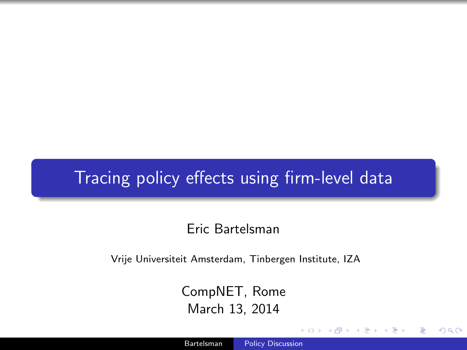# Tracing policy effects using firm-level data

#### Eric Bartelsman

Vrije Universiteit Amsterdam, Tinbergen Institute, IZA

CompNET, Rome March 13, 2014

<span id="page-0-0"></span> $\Omega$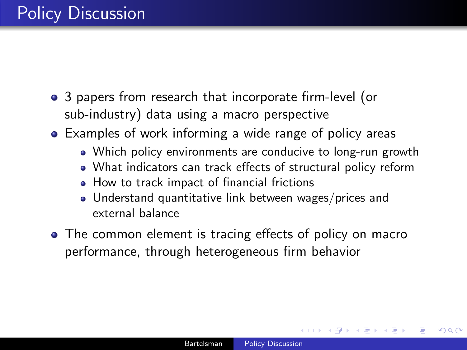- 3 papers from research that incorporate firm-level (or sub-industry) data using a macro perspective
- Examples of work informing a wide range of policy areas
	- Which policy environments are conducive to long-run growth
	- What indicators can track effects of structural policy reform
	- How to track impact of financial frictions
	- Understand quantitative link between wages/prices and external balance
- The common element is tracing effects of policy on macro performance, through heterogeneous firm behavior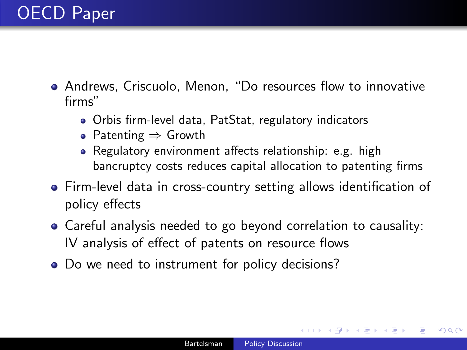- Andrews, Criscuolo, Menon, "Do resources flow to innovative firms"
	- Orbis firm-level data, PatStat, regulatory indicators
	- Patenting ⇒ Growth
	- Regulatory environment affects relationship: e.g. high bancruptcy costs reduces capital allocation to patenting firms
- Firm-level data in cross-country setting allows identification of policy effects
- Careful analysis needed to go beyond correlation to causality: IV analysis of effect of patents on resource flows
- Do we need to instrument for policy decisions?

<span id="page-2-0"></span> $200$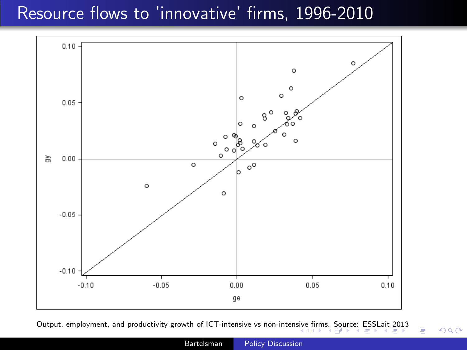# Resource flows to 'innovative' firms, 1996-2010



Output, employment, and productivity growth of ICT-inten[sive](#page-2-0) vs non-intensive fi[rm](#page-4-0)[s.](#page-2-0) [Sou](#page-3-0)[rc](#page-4-0)[e: E](#page-0-0)[SSL](#page-8-0)[ait 2](#page-0-0)[013](#page-8-0)

つくへ

<span id="page-3-0"></span>∍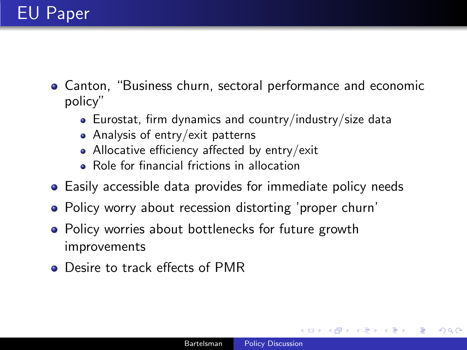- Canton, "Business churn, sectoral performance and economic policy"
	- Eurostat, firm dynamics and country/industry/size data
	- Analysis of entry/exit patterns
	- Allocative efficiency affected by entry/exit
	- Role for financial frictions in allocation
- Easily accessible data provides for immediate policy needs
- Policy worry about recession distorting 'proper churn'
- Policy worries about bottlenecks for future growth improvements
- Desire to track effects of PMR

<span id="page-4-0"></span> $200$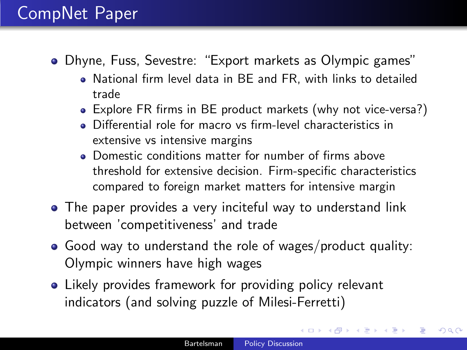# CompNet Paper

- Dhyne, Fuss, Sevestre: "Export markets as Olympic games"
	- National firm level data in BE and FR, with links to detailed trade
	- Explore FR firms in BE product markets (why not vice-versa?)
	- Differential role for macro vs firm-level characteristics in extensive vs intensive margins
	- Domestic conditions matter for number of firms above threshold for extensive decision. Firm-specific characteristics compared to foreign market matters for intensive margin
- The paper provides a very inciteful way to understand link between 'competitiveness' and trade
- Good way to understand the role of wages/product quality: Olympic winners have high wages
- Likely provides framework for providing policy relevant indicators (and solving puzzle of Milesi-Ferretti)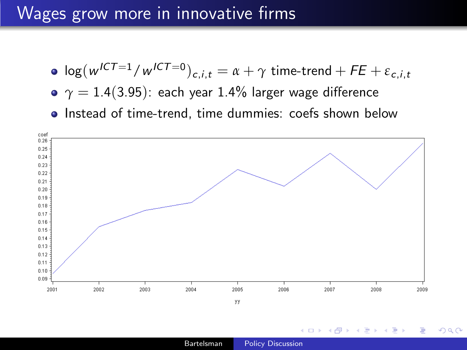### Wages grow more in innovative firms

- $\log(w^{ICT=1}/w^{ICT=0})_{c,i,t} = \alpha + \gamma \textrm{ time-trend} + FE + \varepsilon_{c,i,t}$
- $\gamma = 1.4(3.95)$ : each year 1.4% larger wage difference
- Instead of time-trend, time dummies: coefs shown below



 $\sim$   $\sim$ 

 $\overline{AB}$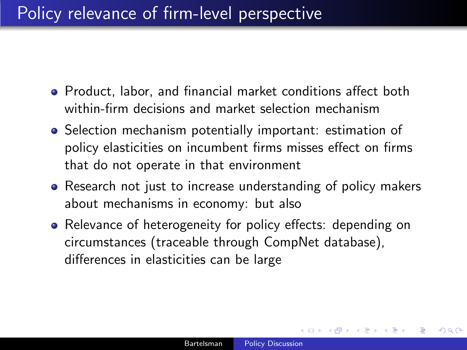# Policy relevance of firm-level perspective

- Product, labor, and financial market conditions affect both within-firm decisions and market selection mechanism
- Selection mechanism potentially important: estimation of policy elasticities on incumbent firms misses effect on firms that do not operate in that environment
- Research not just to increase understanding of policy makers about mechanisms in economy: but also
- Relevance of heterogeneity for policy effects: depending on circumstances (traceable through CompNet database), differences in elasticities can be large